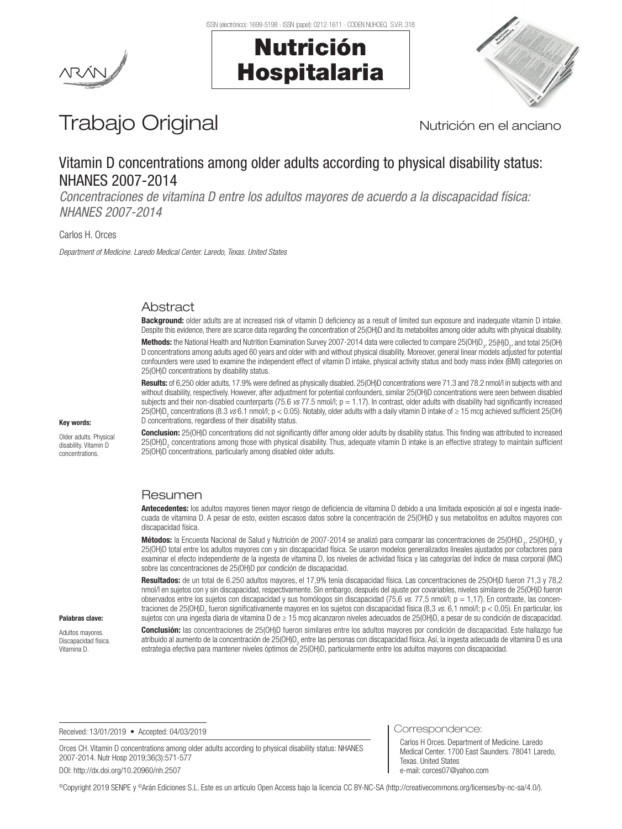Nutrición

Hospitalaria





# Trabajo Original Nutrición en el anciano

## Vitamin D concentrations among older adults according to physical disability status: NHANES 2007-2014

*Concentraciones de vitamina D entre los adultos mayores de acuerdo a la discapacidad física: NHANES 2007-2014*

Carlos H. Orces

*Department of Medicine. Laredo Medical Center. Laredo, Texas. United States*

### Abstract

Background: older adults are at increased risk of vitamin D deficiency as a result of limited sun exposure and inadequate vitamin D intake. Despite this evidence, there are scarce data regarding the concentration of 25(OH)D and its metabolites among older adults with physical disability.

**Methods:** the National Health and Nutrition Examination Survey 2007-2014 data were collected to compare 25(OH)D<sub>3</sub>, 25(H)D<sub>2</sub>, and total 25(OH) D concentrations among adults aged 60 years and older with and without physical disability. Moreover, general linear models adjusted for potential confounders were used to examine the independent effect of vitamin D intake, physical activity status and body mass index (BMI) categories on 25(OH)D concentrations by disability status.

Results: of 6,250 older adults, 17.9% were defined as physically disabled. 25(OH)D concentrations were 71.3 and 78.2 nmol/l in subjects with and without disability, respectively. However, after adjustment for potential confounders, similar 25(OH)D concentrations were seen between disabled subjects and their non-disabled counterparts (75.6 *vs* 77.5 nmol/l;  $p = 1.17$ ). In contrast, older adults with disability had significantly increased 25(OH)D2 concentrations (8.3 *vs* 6.1 nmol/l; p < 0.05). Notably, older adults with a daily vitamin D intake of ≥ 15 mcg achieved sufficient 25(OH) D concentrations, regardless of their disability status.

#### Key words:

Older adults. Physical disability. Vitamin D concentrations.

Conclusion: 25(OH)D concentrations did not significantly differ among older adults by disability status. This finding was attributed to increased 25(OH)D<sub>2</sub> concentrations among those with physical disability. Thus, adequate vitamin D intake is an effective strategy to maintain sufficient 25(OH)D concentrations, particularly among disabled older adults.

#### Resumen

Antecedentes: los adultos mayores tienen mayor riesgo de deficiencia de vitamina D debido a una limitada exposición al sol e ingesta inadecuada de vitamina D. A pesar de esto, existen escasos datos sobre la concentración de 25(OH)D y sus metabolitos en adultos mayores con discapacidad física.

**Métodos:** la Encuesta Nacional de Salud y Nutrición de 2007-2014 se analizó para comparar las concentraciones de 25(OH)D<sub>3</sub>, 25(OH)D<sub>2</sub> y 25(OH)D total entre los adultos mayores con y sin discapacidad física. Se usaron modelos generalizados lineales ajustados por cofactores para examinar el efecto independiente de la ingesta de vitamina D, los niveles de actividad física y las categorías del índice de masa corporal (IMC) sobre las concentraciones de 25(OH)D por condición de discapacidad.

Resultados: de un total de 6.250 adultos mayores, el 17,9% tenía discapacidad física. Las concentraciones de 25(OH)D fueron 71,3 y 78,2 nmol/l en sujetos con y sin discapacidad, respectivamente. Sin embargo, después del ajuste por covariables, niveles similares de 25(OH)D fueron observados entre los sujetos con discapacidad y sus homólogos sin discapacidad (75,6 *vs.* 77,5 nmol/l; p = 1,17). En contraste, las concentraciones de 25(OH)D<sub>2</sub> fueron significativamente mayores en los sujetos con discapacidad física (8,3 *vs*. 6,1 nmol/l; p < 0,05). En particular, los sujetos con una ingesta diaria de vitamina D de ≥ 15 mcg alcanzaron niveles adecuados de 25(OH)D, a pesar de su condición de discapacidad.

#### Palabras clave:

Adultos mayores. Discapacidad física. Vitamina D.

Conclusión: las concentraciones de 25(OH)D fueron similares entre los adultos mayores por condición de discapacidad. Este hallazgo fue atribuido al aumento de la concentración de 25(OH)D<sub>2</sub> entre las personas con discapacidad física. Así, la ingesta adecuada de vitamina D es una estrategia efectiva para mantener niveles óptimos de 25(OH)D, particularmente entre los adultos mayores con discapacidad.

Received: 13/01/2019 • Accepted: 04/03/2019

Orces CH. Vitamin D concentrations among older adults according to physical disability status: NHANES 2007-2014. Nutr Hosp 2019;36(3):571-577

DOI: http://dx.doi.org/10.20960/nh.2507

Correspondence:

Carlos H Orces. Department of Medicine. Laredo Medical Center. 1700 East Saunders. 78041 Laredo, Texas. United States e-mail: corces07@yahoo.com

©Copyright 2019 SENPE y ©Arán Ediciones S.L. Este es un artículo Open Access bajo la licencia CC BY-NC-SA (http://creativecommons.org/licenses/by-nc-sa/4.0/).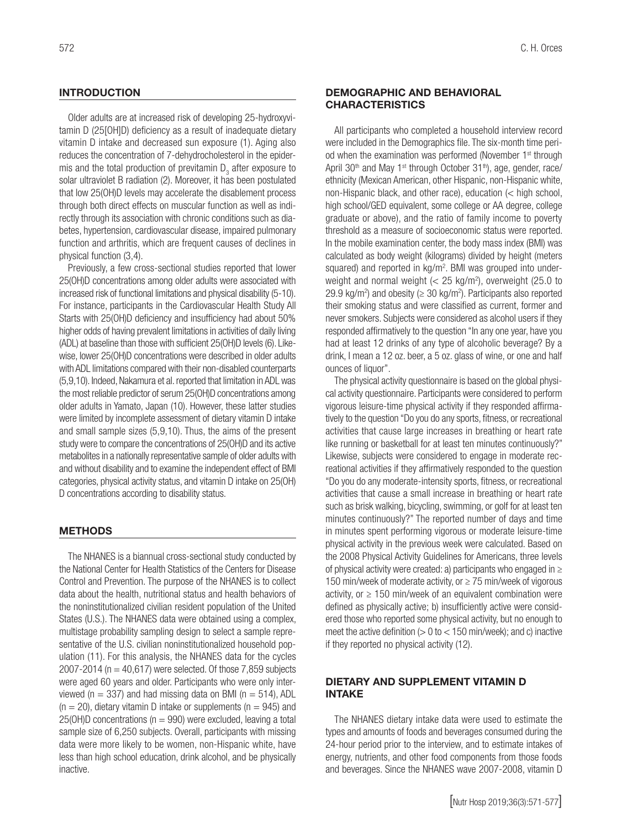Older adults are at increased risk of developing 25-hydroxyvitamin D (25[OH]D) deficiency as a result of inadequate dietary vitamin D intake and decreased sun exposure (1). Aging also reduces the concentration of 7-dehydrocholesterol in the epidermis and the total production of previtamin  $\mathsf{D}_{_{\mathrm{3}}}$  after exposure to solar ultraviolet B radiation (2). Moreover, it has been postulated that low 25(OH)D levels may accelerate the disablement process through both direct effects on muscular function as well as indirectly through its association with chronic conditions such as diabetes, hypertension, cardiovascular disease, impaired pulmonary function and arthritis, which are frequent causes of declines in physical function (3,4).

Previously, a few cross-sectional studies reported that lower 25(OH)D concentrations among older adults were associated with increased risk of functional limitations and physical disability (5-10). For instance, participants in the Cardiovascular Health Study All Starts with 25(OH)D deficiency and insufficiency had about 50% higher odds of having prevalent limitations in activities of daily living (ADL) at baseline than those with sufficient 25(OH)D levels (6). Likewise, lower 25(OH)D concentrations were described in older adults with ADL limitations compared with their non-disabled counterparts (5,9,10). Indeed, Nakamura et al. reported that limitation in ADL was the most reliable predictor of serum 25(OH)D concentrations among older adults in Yamato, Japan (10). However, these latter studies were limited by incomplete assessment of dietary vitamin D intake and small sample sizes (5,9,10). Thus, the aims of the present study were to compare the concentrations of 25(OH)D and its active metabolites in a nationally representative sample of older adults with and without disability and to examine the independent effect of BMI categories, physical activity status, and vitamin D intake on 25(OH) D concentrations according to disability status.

#### **METHODS**

The NHANES is a biannual cross-sectional study conducted by the National Center for Health Statistics of the Centers for Disease Control and Prevention. The purpose of the NHANES is to collect data about the health, nutritional status and health behaviors of the noninstitutionalized civilian resident population of the United States (U.S.). The NHANES data were obtained using a complex, multistage probability sampling design to select a sample representative of the U.S. civilian noninstitutionalized household population (11). For this analysis, the NHANES data for the cycles 2007-2014 ( $n = 40,617$ ) were selected. Of those 7,859 subjects were aged 60 years and older. Participants who were only interviewed ( $n = 337$ ) and had missing data on BMI ( $n = 514$ ), ADL  $(n = 20)$ , dietary vitamin D intake or supplements  $(n = 945)$  and  $25(OH)D$  concentrations ( $n = 990$ ) were excluded, leaving a total sample size of 6,250 subjects. Overall, participants with missing data were more likely to be women, non-Hispanic white, have less than high school education, drink alcohol, and be physically inactive.

#### DEMOGRAPHIC AND BEHAVIORAL **CHARACTERISTICS**

All participants who completed a household interview record were included in the Demographics file. The six-month time period when the examination was performed (November 1<sup>st</sup> through April 30<sup>th</sup> and May 1<sup>st</sup> through October 31<sup>th</sup>), age, gender, race/ ethnicity (Mexican American, other Hispanic, non-Hispanic white, non-Hispanic black, and other race), education (< high school, high school/GED equivalent, some college or AA degree, college graduate or above), and the ratio of family income to poverty threshold as a measure of socioeconomic status were reported. In the mobile examination center, the body mass index (BMI) was calculated as body weight (kilograms) divided by height (meters squared) and reported in kg/m<sup>2</sup>. BMI was grouped into underweight and normal weight  $\left($  < 25 kg/m<sup>2</sup>), overweight (25.0 to 29.9 kg/m<sup>2</sup>) and obesity ( $\geq$  30 kg/m<sup>2</sup>). Participants also reported their smoking status and were classified as current, former and never smokers. Subjects were considered as alcohol users if they responded affirmatively to the question "In any one year, have you had at least 12 drinks of any type of alcoholic beverage? By a drink, I mean a 12 oz. beer, a 5 oz. glass of wine, or one and half ounces of liquor".

The physical activity questionnaire is based on the global physical activity questionnaire. Participants were considered to perform vigorous leisure-time physical activity if they responded affirmatively to the question "Do you do any sports, fitness, or recreational activities that cause large increases in breathing or heart rate like running or basketball for at least ten minutes continuously?" Likewise, subjects were considered to engage in moderate recreational activities if they affirmatively responded to the question "Do you do any moderate-intensity sports, fitness, or recreational activities that cause a small increase in breathing or heart rate such as brisk walking, bicycling, swimming, or golf for at least ten minutes continuously?" The reported number of days and time in minutes spent performing vigorous or moderate leisure-time physical activity in the previous week were calculated. Based on the 2008 Physical Activity Guidelines for Americans, three levels of physical activity were created: a) participants who engaged in ≥ 150 min/week of moderate activity, or ≥ 75 min/week of vigorous activity, or  $\geq$  150 min/week of an equivalent combination were defined as physically active; b) insufficiently active were considered those who reported some physical activity, but no enough to meet the active definition  $(> 0$  to  $< 150$  min/week); and c) inactive if they reported no physical activity (12).

#### DIETARY AND SUPPLEMENT VITAMIN D INTAKE

The NHANES dietary intake data were used to estimate the types and amounts of foods and beverages consumed during the 24-hour period prior to the interview, and to estimate intakes of energy, nutrients, and other food components from those foods and beverages. Since the NHANES wave 2007-2008, vitamin D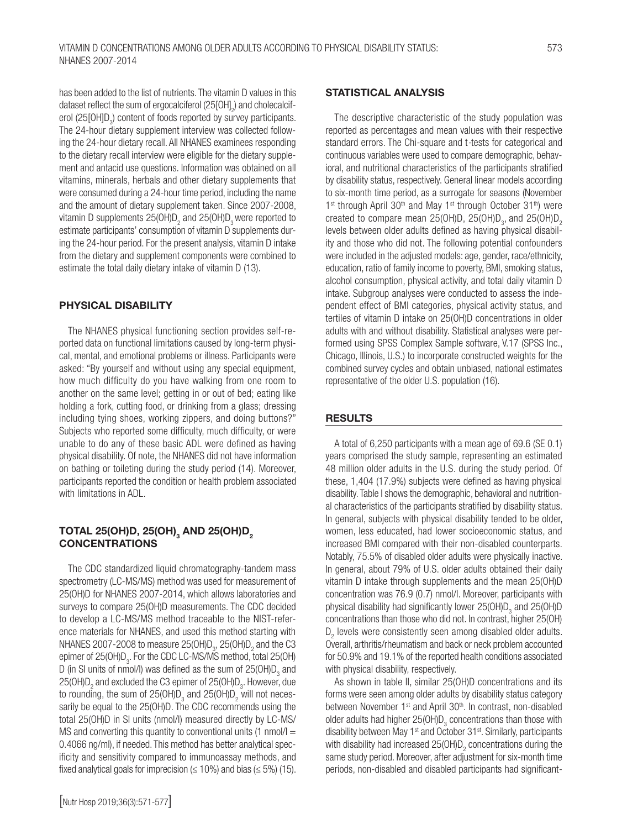has been added to the list of nutrients. The vitamin D values in this dataset reflect the sum of ergocalciferol (25[OH] $_{\textrm{\tiny{\it2}}}$ ) and cholecalciferol (25[OH]D<sub>3</sub>) content of foods reported by survey participants. The 24-hour dietary supplement interview was collected following the 24-hour dietary recall. All NHANES examinees responding

to the dietary recall interview were eligible for the dietary supplement and antacid use questions. Information was obtained on all vitamins, minerals, herbals and other dietary supplements that were consumed during a 24-hour time period, including the name and the amount of dietary supplement taken. Since 2007-2008, vitamin D supplements 25(OH)D<sub>2</sub> and 25(OH)D<sub>3</sub> were reported to estimate participants' consumption of vitamin D supplements during the 24-hour period. For the present analysis, vitamin D intake from the dietary and supplement components were combined to estimate the total daily dietary intake of vitamin D (13).

#### PHYSICAL DISABILITY

The NHANES physical functioning section provides self-reported data on functional limitations caused by long-term physical, mental, and emotional problems or illness. Participants were asked: "By yourself and without using any special equipment, how much difficulty do you have walking from one room to another on the same level; getting in or out of bed; eating like holding a fork, cutting food, or drinking from a glass; dressing including tying shoes, working zippers, and doing buttons?" Subjects who reported some difficulty, much difficulty, or were unable to do any of these basic ADL were defined as having physical disability. Of note, the NHANES did not have information on bathing or toileting during the study period (14). Moreover, participants reported the condition or health problem associated with limitations in ADL.

### TOTAL 25(OH)D, 25(OH) $_{\rm 3}$  AND 25(OH)D $_{\rm 2}$ **CONCENTRATIONS**

The CDC standardized liquid chromatography-tandem mass spectrometry (LC-MS/MS) method was used for measurement of 25(OH)D for NHANES 2007-2014, which allows laboratories and surveys to compare 25(OH)D measurements. The CDC decided to develop a LC-MS/MS method traceable to the NIST-reference materials for NHANES, and used this method starting with NHANES 2007-2008 to measure 25(OH)D<sub>3</sub>, 25(OH)D<sub>2</sub> and the C3 epimer of 25(OH)D $_{\textrm{\tiny{3}}}$ . For the CDC LC-MS/MS method, total 25(OH) D (in SI units of nmol/I) was defined as the sum of 25(OH)D<sub>3</sub> and 25(OH)D<sub>2</sub> and excluded the C3 epimer of 25(OH)D<sub>3</sub>. However, due to rounding, the sum of 25(OH)D<sub>3</sub> and 25(OH)D<sub>2</sub> will not necessarily be equal to the 25(OH)D. The CDC recommends using the total 25(OH)D in SI units (nmol/l) measured directly by LC-MS/ MS and converting this quantity to conventional units  $(1 \text{ nmol/l} =$ 0.4066 ng/ml), if needed. This method has better analytical specificity and sensitivity compared to immunoassay methods, and fixed analytical goals for imprecision ( $\leq$  10%) and bias ( $\leq$  5%) (15).

#### STATISTICAL ANALYSIS

The descriptive characteristic of the study population was reported as percentages and mean values with their respective standard errors. The Chi-square and t*-*tests for categorical and continuous variables were used to compare demographic, behavioral, and nutritional characteristics of the participants stratified by disability status, respectively. General linear models according to six-month time period, as a surrogate for seasons (November 1<sup>st</sup> through April 30<sup>th</sup> and May 1<sup>st</sup> through October 31<sup>th</sup>) were created to compare mean  $25(OH)D$ ,  $25(OH)D_3$ , and  $25(OH)D_2$ levels between older adults defined as having physical disability and those who did not. The following potential confounders were included in the adjusted models: age, gender, race/ethnicity, education, ratio of family income to poverty, BMI, smoking status, alcohol consumption, physical activity, and total daily vitamin D intake. Subgroup analyses were conducted to assess the independent effect of BMI categories, physical activity status, and tertiles of vitamin D intake on 25(OH)D concentrations in older adults with and without disability. Statistical analyses were performed using SPSS Complex Sample software, V.17 (SPSS Inc., Chicago, Illinois, U.S.) to incorporate constructed weights for the combined survey cycles and obtain unbiased, national estimates representative of the older U.S. population (16).

## **RESULTS**

A total of 6,250 participants with a mean age of 69.6 (SE 0.1) years comprised the study sample, representing an estimated 48 million older adults in the U.S. during the study period. Of these, 1,404 (17.9%) subjects were defined as having physical disability. Table I shows the demographic, behavioral and nutritional characteristics of the participants stratified by disability status. In general, subjects with physical disability tended to be older, women, less educated, had lower socioeconomic status, and increased BMI compared with their non-disabled counterparts. Notably, 75.5% of disabled older adults were physically inactive. In general, about 79% of U.S. older adults obtained their daily vitamin D intake through supplements and the mean 25(OH)D concentration was 76.9 (0.7) nmol/l. Moreover, participants with physical disability had significantly lower  $25(OH)D<sub>3</sub>$  and  $25(OH)D<sub>3</sub>$ concentrations than those who did not. In contrast, higher 25(OH)  $D_2$  levels were consistently seen among disabled older adults. Overall, arthritis/rheumatism and back or neck problem accounted for 50.9% and 19.1% of the reported health conditions associated with physical disability, respectively.

As shown in table II, similar 25(OH)D concentrations and its forms were seen among older adults by disability status category between November 1<sup>st</sup> and April 30<sup>th</sup>. In contrast, non-disabled older adults had higher  $25(OH)D_3$  concentrations than those with disability between May  $1<sup>st</sup>$  and October 31 $<sup>st</sup>$ . Similarly, participants</sup> with disability had increased  $25(OH)D<sub>2</sub>$  concentrations during the same study period. Moreover, after adjustment for six-month time periods, non-disabled and disabled participants had significant-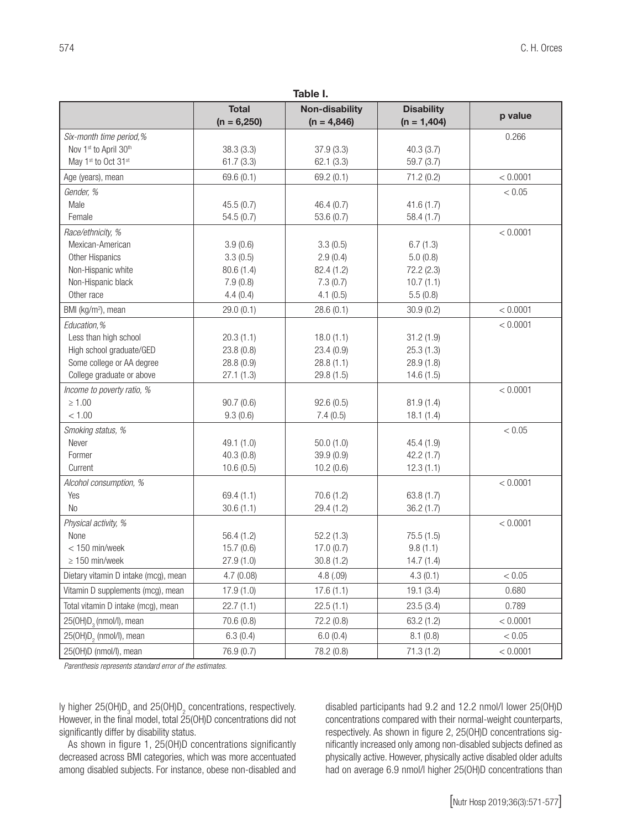| Table I.                             |                               |                                        |                                    |          |  |  |
|--------------------------------------|-------------------------------|----------------------------------------|------------------------------------|----------|--|--|
|                                      | <b>Total</b><br>$(n = 6,250)$ | <b>Non-disability</b><br>$(n = 4,846)$ | <b>Disability</b><br>$(n = 1,404)$ | p value  |  |  |
| Six-month time period,%              |                               |                                        |                                    | 0.266    |  |  |
| Nov 1st to April 30th                | 38.3(3.3)                     | 37.9(3.3)                              | 40.3(3.7)                          |          |  |  |
| May 1st to Oct 31st                  | 61.7(3.3)                     | 62.1(3.3)                              | 59.7(3.7)                          |          |  |  |
| Age (years), mean                    | 69.6 (0.1)                    | 69.2(0.1)                              | 71.2 (0.2)                         | < 0.0001 |  |  |
| Gender, %                            |                               |                                        |                                    | < 0.05   |  |  |
| Male                                 | 45.5(0.7)                     | 46.4(0.7)                              | 41.6(1.7)                          |          |  |  |
| Female                               | 54.5(0.7)                     | 53.6(0.7)                              | 58.4 (1.7)                         |          |  |  |
| Race/ethnicity, %                    |                               |                                        |                                    | < 0.0001 |  |  |
| Mexican-American                     | 3.9(0.6)                      | 3.3(0.5)                               | 6.7(1.3)                           |          |  |  |
| Other Hispanics                      | 3.3(0.5)                      | 2.9(0.4)                               | 5.0(0.8)                           |          |  |  |
| Non-Hispanic white                   | 80.6(1.4)                     | 82.4 (1.2)                             | 72.2 (2.3)                         |          |  |  |
| Non-Hispanic black                   | 7.9(0.8)                      | 7.3(0.7)                               | 10.7(1.1)                          |          |  |  |
| Other race                           | 4.4(0.4)                      | 4.1(0.5)                               | 5.5(0.8)                           |          |  |  |
| BMI (kg/m <sup>2</sup> ), mean       | 29.0(0.1)                     | 28.6(0.1)                              | 30.9(0.2)                          | < 0.0001 |  |  |
| Education, %                         |                               |                                        |                                    | < 0.0001 |  |  |
| Less than high school                | 20.3(1.1)                     | 18.0(1.1)                              | 31.2(1.9)                          |          |  |  |
| High school graduate/GED             | 23.8(0.8)                     | 23.4(0.9)                              | 25.3(1.3)                          |          |  |  |
| Some college or AA degree            | 28.8 (0.9)                    | 28.8(1.1)                              | 28.9(1.8)                          |          |  |  |
| College graduate or above            | 27.1(1.3)                     | 29.8(1.5)                              | 14.6(1.5)                          |          |  |  |
| Income to poverty ratio, %           |                               |                                        |                                    | < 0.0001 |  |  |
| $\geq 1.00$                          | 90.7(0.6)                     | 92.6(0.5)                              | 81.9(1.4)                          |          |  |  |
| < 1.00                               | 9.3(0.6)                      | 7.4(0.5)                               | 18.1(1.4)                          |          |  |  |
| Smoking status, %                    |                               |                                        |                                    | < 0.05   |  |  |
| Never                                | 49.1 (1.0)                    | 50.0(1.0)                              | 45.4 (1.9)                         |          |  |  |
| Former                               | 40.3(0.8)                     | 39.9(0.9)                              | 42.2(1.7)                          |          |  |  |
| Current                              | 10.6(0.5)                     | 10.2(0.6)                              | 12.3(1.1)                          |          |  |  |
| Alcohol consumption, %               |                               |                                        |                                    | < 0.0001 |  |  |
| Yes                                  | 69.4(1.1)                     | 70.6(1.2)                              | 63.8(1.7)                          |          |  |  |
| <b>No</b>                            | 30.6(1.1)                     | 29.4(1.2)                              | 36.2(1.7)                          |          |  |  |
| Physical activity, %                 |                               |                                        |                                    | < 0.0001 |  |  |
| None                                 | 56.4(1.2)                     | 52.2(1.3)                              | 75.5(1.5)                          |          |  |  |
| $<$ 150 min/week                     | 15.7(0.6)                     | 17.0(0.7)                              | 9.8(1.1)                           |          |  |  |
| $\geq 150$ min/week                  | 27.9(1.0)                     | 30.8(1.2)                              | 14.7(1.4)                          |          |  |  |
| Dietary vitamin D intake (mcg), mean | 4.7(0.08)                     | 4.8(.09)                               | 4.3(0.1)                           | < 0.05   |  |  |
| Vitamin D supplements (mcg), mean    | 17.9(1.0)                     | 17.6(1.1)                              | 19.1(3.4)                          | 0.680    |  |  |
| Total vitamin D intake (mcg), mean   | 22.7(1.1)                     | 22.5(1.1)                              | 23.5(3.4)                          | 0.789    |  |  |
| 25(OH)D <sub>3</sub> (nmol/l), mean  | 70.6 (0.8)                    | 72.2 (0.8)                             | 63.2 (1.2)                         | < 0.0001 |  |  |
| 25(OH)D <sub>2</sub> (nmol/l), mean  | 6.3(0.4)                      | 6.0(0.4)                               | 8.1(0.8)                           | < 0.05   |  |  |
| 25(OH)D (nmol/l), mean               | 76.9 (0.7)                    | 78.2 (0.8)                             | 71.3(1.2)                          | < 0.0001 |  |  |

*Parenthesis represents standard error of the estimates.*

ly higher 25(OH)D<sub>3</sub> and 25(OH)D<sub>2</sub> concentrations, respectively. However, in the final model, total 25(OH)D concentrations did not significantly differ by disability status.

As shown in figure 1, 25(OH)D concentrations significantly decreased across BMI categories, which was more accentuated among disabled subjects. For instance, obese non-disabled and disabled participants had 9.2 and 12.2 nmol/l lower 25(OH)D concentrations compared with their normal-weight counterparts, respectively. As shown in figure 2, 25(OH)D concentrations significantly increased only among non-disabled subjects defined as physically active. However, physically active disabled older adults had on average 6.9 nmol/l higher 25(OH)D concentrations than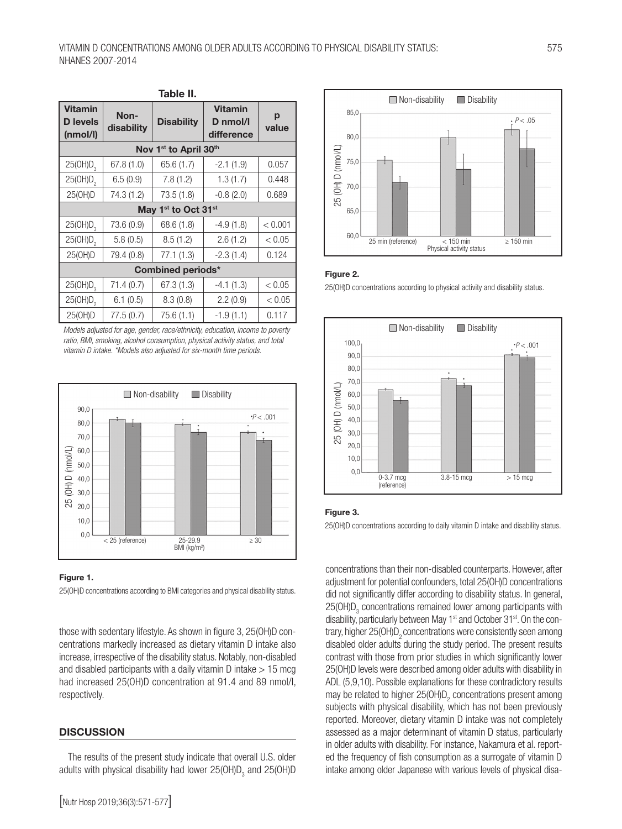| Table II.                                     |                    |                   |                                          |            |  |  |  |
|-----------------------------------------------|--------------------|-------------------|------------------------------------------|------------|--|--|--|
| <b>Vitamin</b><br><b>D</b> levels<br>(mmol/l) | Non-<br>disability | <b>Disability</b> | <b>Vitamin</b><br>D nmol/l<br>difference | p<br>value |  |  |  |
| Nov 1 <sup>st</sup> to April 30 <sup>th</sup> |                    |                   |                                          |            |  |  |  |
| 25(OH)D <sub>3</sub>                          | 67.8(1.0)          | 65.6 (1.7)        | $-2.1(1.9)$                              | 0.057      |  |  |  |
| 25(OH)D <sub>2</sub>                          | 6.5(0.9)           | 7.8(1.2)          | 1.3(1.7)                                 | 0.448      |  |  |  |
| 25(OH)D                                       | 74.3 (1.2)         | 73.5 (1.8)        | $-0.8(2.0)$                              | 0.689      |  |  |  |
| May 1 <sup>st</sup> to Oct 31 <sup>st</sup>   |                    |                   |                                          |            |  |  |  |
| 25(OH)D <sub>3</sub>                          | 73.6 (0.9)         | 68.6 (1.8)        | $-4.9(1.8)$                              | < 0.001    |  |  |  |
| 25(OH)D <sub>2</sub>                          | 5.8(0.5)           | 8.5(1.2)          | 2.6(1.2)                                 | < 0.05     |  |  |  |
| 25(OH)D                                       | 79.4 (0.8)         | 77.1 (1.3)        | $-2.3(1.4)$                              | 0.124      |  |  |  |
| <b>Combined periods*</b>                      |                    |                   |                                          |            |  |  |  |
| 25(OH)D <sub>3</sub>                          | 71.4 (0.7)         | 67.3(1.3)         | $-4.1(1.3)$                              | < 0.05     |  |  |  |
| 25(OH)D <sub>2</sub>                          | 6.1(0.5)           | 8.3(0.8)          | 2.2(0.9)                                 | < 0.05     |  |  |  |
| 25(OH)D                                       | 77.5 (0.7)         | 75.6 (1.1)        | $-1.9(1.1)$                              | 0.117      |  |  |  |

*Models adjusted for age, gender, race/ethnicity, education, income to poverty ratio, BMI, smoking, alcohol consumption, physical activity status, and total vitamin D intake. \*Models also adjusted for six-month time periods.*





25(OH)D concentrations according to BMI categories and physical disability status.

those with sedentary lifestyle. As shown in figure 3, 25(OH)D concentrations markedly increased as dietary vitamin D intake also increase, irrespective of the disability status. Notably, non-disabled and disabled participants with a daily vitamin  $D$  intake  $> 15$  mcg had increased 25(OH)D concentration at 91.4 and 89 nmol/l, respectively.

#### **DISCUSSION**

The results of the present study indicate that overall U.S. older adults with physical disability had lower 25(OH)D $_{_3}$  and 25(OH)D



#### Figure 2.

25(OH)D concentrations according to physical activity and disability status.



#### Figure 3.

25(OH)D concentrations according to daily vitamin D intake and disability status.

concentrations than their non-disabled counterparts. However, after adjustment for potential confounders, total 25(OH)D concentrations did not significantly differ according to disability status. In general,  $25(OH)D<sub>3</sub>$  concentrations remained lower among participants with disability, particularly between May 1<sup>st</sup> and October 31<sup>st</sup>. On the contrary, higher 25(OH)D<sub>2</sub> concentrations were consistently seen among disabled older adults during the study period. The present results contrast with those from prior studies in which significantly lower 25(OH)D levels were described among older adults with disability in ADL (5,9,10). Possible explanations for these contradictory results may be related to higher  $25(OH)D<sub>2</sub>$  concentrations present among subjects with physical disability, which has not been previously reported. Moreover, dietary vitamin D intake was not completely assessed as a major determinant of vitamin D status, particularly in older adults with disability. For instance, Nakamura et al. reported the frequency of fish consumption as a surrogate of vitamin D intake among older Japanese with various levels of physical disa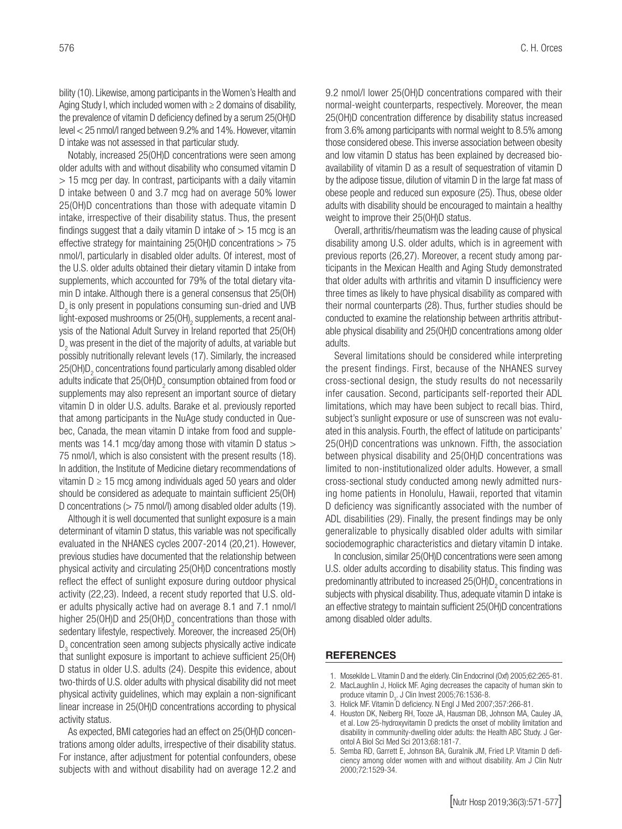bility (10). Likewise, among participants in the Women's Health and Aging Study I, which included women with  $\geq 2$  domains of disability, the prevalence of vitamin D deficiency defined by a serum 25(OH)D level < 25 nmol/l ranged between 9.2% and 14%. However, vitamin D intake was not assessed in that particular study.

Notably, increased 25(OH)D concentrations were seen among older adults with and without disability who consumed vitamin D  $>$  15 mcg per day. In contrast, participants with a daily vitamin D intake between 0 and 3.7 mcg had on average 50% lower 25(OH)D concentrations than those with adequate vitamin D intake, irrespective of their disability status. Thus, the present findings suggest that a daily vitamin D intake of  $> 15$  mcg is an effective strategy for maintaining  $25(OH)D$  concentrations  $> 75$ nmol/l, particularly in disabled older adults. Of interest, most of the U.S. older adults obtained their dietary vitamin D intake from supplements, which accounted for 79% of the total dietary vitamin D intake. Although there is a general consensus that 25(OH) D<sub>2</sub> is only present in populations consuming sun-dried and UVB light-exposed mushrooms or 25(OH) $_{\rm 2}$  supplements, a recent analysis of the National Adult Survey in Ireland reported that 25(OH)  ${\mathsf D}_2$  was present in the diet of the majority of adults, at variable but possibly nutritionally relevant levels (17). Similarly, the increased 25(OH)D $_{\textrm{\tiny{\it 2}}}$  concentrations found particularly among disabled older adults indicate that 25(OH)D<sub>2</sub> consumption obtained from food or supplements may also represent an important source of dietary vitamin D in older U.S. adults. Barake et al. previously reported that among participants in the NuAge study conducted in Quebec, Canada, the mean vitamin D intake from food and supplements was 14.1 mcg/day among those with vitamin D status > 75 nmol/l, which is also consistent with the present results (18). In addition, the Institute of Medicine dietary recommendations of vitamin  $D \ge 15$  mcg among individuals aged 50 years and older should be considered as adequate to maintain sufficient 25(OH) D concentrations (> 75 nmol/l) among disabled older adults (19).

Although it is well documented that sunlight exposure is a main determinant of vitamin D status, this variable was not specifically evaluated in the NHANES cycles 2007-2014 (20,21). However, previous studies have documented that the relationship between physical activity and circulating 25(OH)D concentrations mostly reflect the effect of sunlight exposure during outdoor physical activity (22,23). Indeed, a recent study reported that U.S. older adults physically active had on average 8.1 and 7.1 nmol/l higher 25(OH)D and 25(OH)D<sub>3</sub> concentrations than those with sedentary lifestyle, respectively. Moreover, the increased 25(OH)  $D_3$  concentration seen among subjects physically active indicate that sunlight exposure is important to achieve sufficient 25(OH) D status in older U.S. adults (24). Despite this evidence, about two-thirds of U.S. older adults with physical disability did not meet physical activity guidelines, which may explain a non-significant linear increase in 25(OH)D concentrations according to physical activity status.

As expected, BMI categories had an effect on 25(OH)D concentrations among older adults, irrespective of their disability status. For instance, after adjustment for potential confounders, obese subjects with and without disability had on average 12.2 and 9.2 nmol/l lower 25(OH)D concentrations compared with their normal-weight counterparts, respectively. Moreover, the mean 25(OH)D concentration difference by disability status increased from 3.6% among participants with normal weight to 8.5% among those considered obese. This inverse association between obesity and low vitamin D status has been explained by decreased bioavailability of vitamin D as a result of sequestration of vitamin D by the adipose tissue, dilution of vitamin D in the large fat mass of obese people and reduced sun exposure (25). Thus, obese older adults with disability should be encouraged to maintain a healthy weight to improve their 25(OH)D status.

Overall, arthritis/rheumatism was the leading cause of physical disability among U.S. older adults, which is in agreement with previous reports (26,27). Moreover, a recent study among participants in the Mexican Health and Aging Study demonstrated that older adults with arthritis and vitamin D insufficiency were three times as likely to have physical disability as compared with their normal counterparts (28). Thus, further studies should be conducted to examine the relationship between arthritis attributable physical disability and 25(OH)D concentrations among older adults.

Several limitations should be considered while interpreting the present findings. First, because of the NHANES survey cross-sectional design, the study results do not necessarily infer causation. Second, participants self-reported their ADL limitations, which may have been subject to recall bias. Third, subject's sunlight exposure or use of sunscreen was not evaluated in this analysis. Fourth, the effect of latitude on participants' 25(OH)D concentrations was unknown. Fifth, the association between physical disability and 25(OH)D concentrations was limited to non-institutionalized older adults. However, a small cross-sectional study conducted among newly admitted nursing home patients in Honolulu, Hawaii, reported that vitamin D deficiency was significantly associated with the number of ADL disabilities (29). Finally, the present findings may be only generalizable to physically disabled older adults with similar sociodemographic characteristics and dietary vitamin D intake.

In conclusion, similar 25(OH)D concentrations were seen among U.S. older adults according to disability status. This finding was predominantly attributed to increased  $25$ (OH) $D_2$  concentrations in subjects with physical disability. Thus, adequate vitamin D intake is an effective strategy to maintain sufficient 25(OH)D concentrations among disabled older adults.

#### REFERENCES

- 1. Mosekilde L. Vitamin D and the elderly. Clin Endocrinol (Oxf) 2005;62:265-81.
- 2. MacLaughlin J, Holick MF. Aging decreases the capacity of human skin to produce vitamin  $D_3$ . J Clin Invest 2005;76:1536-8.
- 3. Holick MF. Vitamin D deficiency. N Engl J Med 2007;357:266-81.
- 4. Houston DK, Neiberg RH, Tooze JA, Hausman DB, Johnson MA, Cauley JA, et al. Low 25-hydroxyvitamin D predicts the onset of mobility limitation and disability in community-dwelling older adults: the Health ABC Study. J Gerontol A Biol Sci Med Sci 2013;68:181-7.
- 5. Semba RD, Garrett E, Johnson BA, Guralnik JM, Fried LP. Vitamin D deficiency among older women with and without disability. Am J Clin Nutr 2000;72:1529-34.